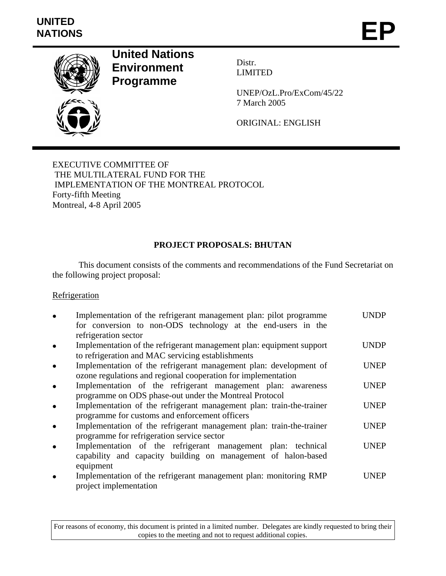# **UNITED**  UNITED<br>NATIONS **EP**



**United Nations Environment Programme** 

Distr. LIMITED

UNEP/OzL.Pro/ExCom/45/22 7 March 2005

ORIGINAL: ENGLISH

EXECUTIVE COMMITTEE OF THE MULTILATERAL FUND FOR THE IMPLEMENTATION OF THE MONTREAL PROTOCOL Forty-fifth Meeting Montreal, 4-8 April 2005

# **PROJECT PROPOSALS: BHUTAN**

 This document consists of the comments and recommendations of the Fund Secretariat on the following project proposal:

#### **Refrigeration**

| Implementation of the refrigerant management plan: pilot programme<br>for conversion to non-ODS technology at the end-users in the<br>refrigeration sector |             |
|------------------------------------------------------------------------------------------------------------------------------------------------------------|-------------|
| Implementation of the refrigerant management plan: equipment support<br>to refrigeration and MAC servicing establishments                                  | UNDP        |
| Implementation of the refrigerant management plan: development of<br>ozone regulations and regional cooperation for implementation                         | UNEP        |
| Implementation of the refrigerant management plan: awareness<br>programme on ODS phase-out under the Montreal Protocol                                     | <b>UNEP</b> |
| Implementation of the refrigerant management plan: train-the-trainer<br>programme for customs and enforcement officers                                     | <b>UNEP</b> |
| Implementation of the refrigerant management plan: train-the-trainer<br>programme for refrigeration service sector                                         | <b>UNEP</b> |
| Implementation of the refrigerant management plan: technical<br>capability and capacity building on management of halon-based<br>equipment                 | <b>UNEP</b> |
| Implementation of the refrigerant management plan: monitoring RMP<br>project implementation                                                                | UNEP        |

For reasons of economy, this document is printed in a limited number. Delegates are kindly requested to bring their copies to the meeting and not to request additional copies.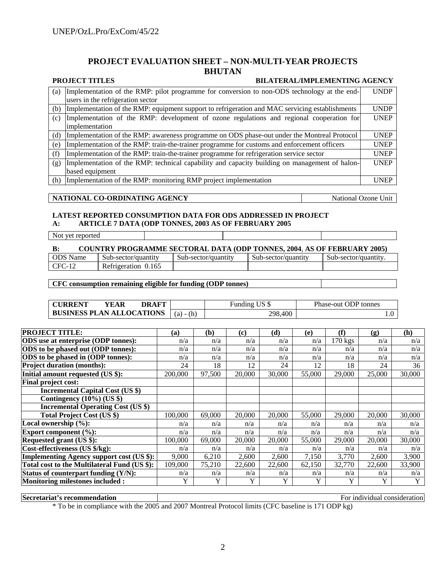#### **PROJECT EVALUATION SHEET – NON-MULTI-YEAR PROJECTS BHUTAN**

#### **PROJECT TITLES** BILATERAL/IMPLEMENTING AGENCY

| (a) | Implementation of the RMP: pilot programme for conversion to non-ODS technology at the end-    | <b>UNDP</b> |
|-----|------------------------------------------------------------------------------------------------|-------------|
|     | users in the refrigeration sector                                                              |             |
| (b) | Implementation of the RMP: equipment support to refrigeration and MAC servicing establishments | <b>UNDP</b> |
| (c) | Implementation of the RMP: development of ozone regulations and regional cooperation for       | <b>UNEP</b> |
|     | limplementation                                                                                |             |
| (d) | Implementation of the RMP: awareness programme on ODS phase-out under the Montreal Protocol    | <b>UNEP</b> |
| (e) | Implementation of the RMP: train-the-trainer programme for customs and enforcement officers    | <b>UNEP</b> |
| (f) | Implementation of the RMP: train-the-trainer programme for refrigeration service sector        | <b>UNEP</b> |
| (g) | Implementation of the RMP: technical capability and capacity building on management of halon-  | <b>UNEP</b> |
|     | based equipment                                                                                |             |
| (h) | Implementation of the RMP: monitoring RMP project implementation                               | UNEP        |

#### **NATIONAL CO-ORDINATING AGENCY** National Ozone Unit

#### **LATEST REPORTED CONSUMPTION DATA FOR ODS ADDRESSED IN PROJECT A: ARTICLE 7 DATA (ODP TONNES, 2003 AS OF FEBRUARY 2005**

| $\mathbf{a}$ |                  | ANTICLE / DATA (ODI TONNES, 2003 AS OF FEDNOANT 2003) |  |
|--------------|------------------|-------------------------------------------------------|--|
|              | Not yet reported |                                                       |  |

Not yet reported

# H **B: COUNTRY PROGRAMME SECTORAL DATA (ODP TONNES, 2004**, **AS OF FEBRUARY 2005)**

| ODS $N$<br>Name | $\sim$ 1<br>Sub-sector/quantity | Sub-sector/quantity | Sub-sector/quantity | Sub-sector/quantity |
|-----------------|---------------------------------|---------------------|---------------------|---------------------|
| CFC             | Refrigeration<br>9.165          |                     |                     |                     |
|                 |                                 |                     |                     |                     |

#### **CFC consumption remaining eligible for funding (ODP tonnes)**

| <b>CURRENT</b>                   | <b>YEAR</b> | DRAFT |             | Funding US \$ | Phase-out ODP tonnes |
|----------------------------------|-------------|-------|-------------|---------------|----------------------|
| <b>BUSINESS PLAN ALLOCATIONS</b> |             |       | $(a) - (h)$ | 298,400       |                      |

| <b>PROJECT TITLE:</b>                            | (a)     | (b)    | (c)    | (d)    | (e)    | (f)       | $\left( \mathbf{g} \right)$ | (h)    |
|--------------------------------------------------|---------|--------|--------|--------|--------|-----------|-----------------------------|--------|
| <b>ODS</b> use at enterprise (ODP tonnes):       | n/a     | n/a    | n/a    | n/a    | n/a    | $170$ kgs | n/a                         | n/a    |
| ODS to be phased out (ODP tonnes):               | n/a     | n/a    | n/a    | n/a    | n/a    | n/a       | n/a                         | n/a    |
| ODS to be phased in (ODP tonnes):                | n/a     | n/a    | n/a    | n/a    | n/a    | n/a       | n/a                         | n/a    |
| <b>Project duration (months):</b>                | 24      | 18     | 12     | 24     | 12     | 18        | 24                          | 36     |
| Initial amount requested (US \$):                | 200,000 | 97,500 | 20,000 | 30,000 | 55,000 | 29,000    | 25,000                      | 30,000 |
| <b>Final project cost:</b>                       |         |        |        |        |        |           |                             |        |
| <b>Incremental Capital Cost (US \$)</b>          |         |        |        |        |        |           |                             |        |
| Contingency $(10\%)$ (US \$)                     |         |        |        |        |        |           |                             |        |
| <b>Incremental Operating Cost (US \$)</b>        |         |        |        |        |        |           |                             |        |
| <b>Total Project Cost (US \$)</b>                | 100,000 | 69,000 | 20,000 | 20,000 | 55,000 | 29,000    | 20,000                      | 30,000 |
| Local ownership (%):                             | n/a     | n/a    | n/a    | n/a    | n/a    | n/a       | n/a                         | n/a    |
| Export component $(\%):$                         | n/a     | n/a    | n/a    | n/a    | n/a    | n/a       | n/a                         | n/a    |
| Requested grant (US \$):                         | 100,000 | 69,000 | 20,000 | 20,000 | 55,000 | 29,000    | 20,000                      | 30,000 |
| Cost-effectiveness (US \$/kg):                   | n/a     | n/a    | n/a    | n/a    | n/a    | n/a       | n/a                         | n/a    |
| <b>Implementing Agency support cost (US \$):</b> | 9,000   | 6,210  | 2,600  | 2,600  | 7,150  | 3,770     | 2.600                       | 3,900  |
| Total cost to the Multilateral Fund (US \$):     | 109,000 | 75,210 | 22,600 | 22,600 | 62,150 | 32,770    | 22,600                      | 33,900 |
| Status of counterpart funding (Y/N):             | n/a     | n/a    | n/a    | n/a    | n/a    | n/a       | n/a                         | n/a    |
| <b>Monitoring milestones included:</b>           | Y       | Y      | Y      | Y      | Y      | Y         | Y                           | Y      |

**Secretariat's recommendation For individual consideration For individual consideration** 

\* To be in compliance with the 2005 and 2007 Montreal Protocol limits (CFC baseline is 171 ODP kg)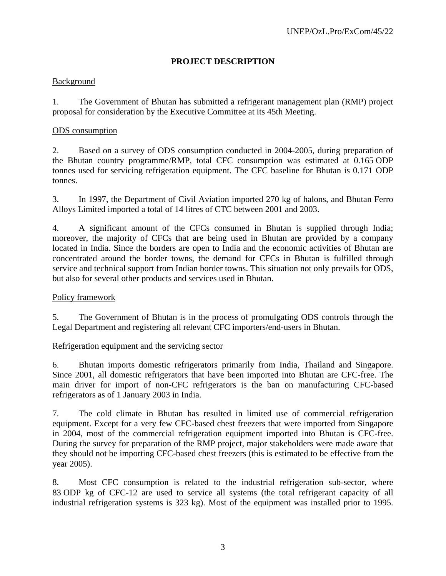### **PROJECT DESCRIPTION**

#### Background

1. The Government of Bhutan has submitted a refrigerant management plan (RMP) project proposal for consideration by the Executive Committee at its 45th Meeting.

#### ODS consumption

2. Based on a survey of ODS consumption conducted in 2004-2005, during preparation of the Bhutan country programme/RMP, total CFC consumption was estimated at 0.165 ODP tonnes used for servicing refrigeration equipment. The CFC baseline for Bhutan is 0.171 ODP tonnes.

3. In 1997, the Department of Civil Aviation imported 270 kg of halons, and Bhutan Ferro Alloys Limited imported a total of 14 litres of CTC between 2001 and 2003.

4. A significant amount of the CFCs consumed in Bhutan is supplied through India; moreover, the majority of CFCs that are being used in Bhutan are provided by a company located in India. Since the borders are open to India and the economic activities of Bhutan are concentrated around the border towns, the demand for CFCs in Bhutan is fulfilled through service and technical support from Indian border towns. This situation not only prevails for ODS, but also for several other products and services used in Bhutan.

#### Policy framework

5. The Government of Bhutan is in the process of promulgating ODS controls through the Legal Department and registering all relevant CFC importers/end-users in Bhutan.

Refrigeration equipment and the servicing sector

6. Bhutan imports domestic refrigerators primarily from India, Thailand and Singapore. Since 2001, all domestic refrigerators that have been imported into Bhutan are CFC-free. The main driver for import of non-CFC refrigerators is the ban on manufacturing CFC-based refrigerators as of 1 January 2003 in India.

7. The cold climate in Bhutan has resulted in limited use of commercial refrigeration equipment. Except for a very few CFC-based chest freezers that were imported from Singapore in 2004, most of the commercial refrigeration equipment imported into Bhutan is CFC-free. During the survey for preparation of the RMP project, major stakeholders were made aware that they should not be importing CFC-based chest freezers (this is estimated to be effective from the year 2005).

8. Most CFC consumption is related to the industrial refrigeration sub-sector, where 83 ODP kg of CFC-12 are used to service all systems (the total refrigerant capacity of all industrial refrigeration systems is 323 kg). Most of the equipment was installed prior to 1995.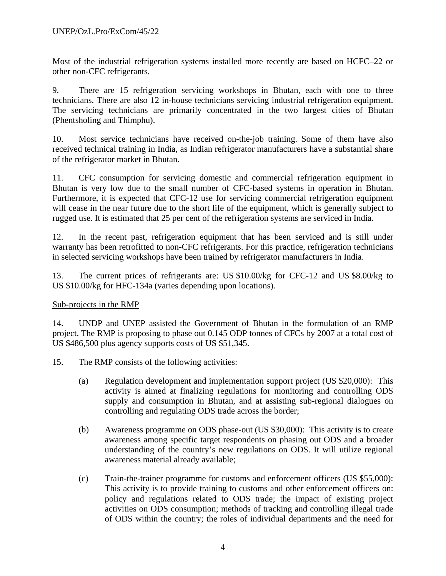Most of the industrial refrigeration systems installed more recently are based on HCFC–22 or other non-CFC refrigerants.

9. There are 15 refrigeration servicing workshops in Bhutan, each with one to three technicians. There are also 12 in-house technicians servicing industrial refrigeration equipment. The servicing technicians are primarily concentrated in the two largest cities of Bhutan (Phentsholing and Thimphu).

10. Most service technicians have received on-the-job training. Some of them have also received technical training in India, as Indian refrigerator manufacturers have a substantial share of the refrigerator market in Bhutan.

11. CFC consumption for servicing domestic and commercial refrigeration equipment in Bhutan is very low due to the small number of CFC-based systems in operation in Bhutan. Furthermore, it is expected that CFC-12 use for servicing commercial refrigeration equipment will cease in the near future due to the short life of the equipment, which is generally subject to rugged use. It is estimated that 25 per cent of the refrigeration systems are serviced in India.

12. In the recent past, refrigeration equipment that has been serviced and is still under warranty has been retrofitted to non-CFC refrigerants. For this practice, refrigeration technicians in selected servicing workshops have been trained by refrigerator manufacturers in India.

13. The current prices of refrigerants are: US \$10.00/kg for CFC-12 and US \$8.00/kg to US \$10.00/kg for HFC-134a (varies depending upon locations).

#### Sub-projects in the RMP

14. UNDP and UNEP assisted the Government of Bhutan in the formulation of an RMP project. The RMP is proposing to phase out 0.145 ODP tonnes of CFCs by 2007 at a total cost of US \$486,500 plus agency supports costs of US \$51,345.

- 15. The RMP consists of the following activities:
	- (a) Regulation development and implementation support project (US \$20,000): This activity is aimed at finalizing regulations for monitoring and controlling ODS supply and consumption in Bhutan, and at assisting sub-regional dialogues on controlling and regulating ODS trade across the border;
	- (b) Awareness programme on ODS phase-out (US \$30,000): This activity is to create awareness among specific target respondents on phasing out ODS and a broader understanding of the country's new regulations on ODS. It will utilize regional awareness material already available;
	- (c) Train-the-trainer programme for customs and enforcement officers (US \$55,000): This activity is to provide training to customs and other enforcement officers on: policy and regulations related to ODS trade; the impact of existing project activities on ODS consumption; methods of tracking and controlling illegal trade of ODS within the country; the roles of individual departments and the need for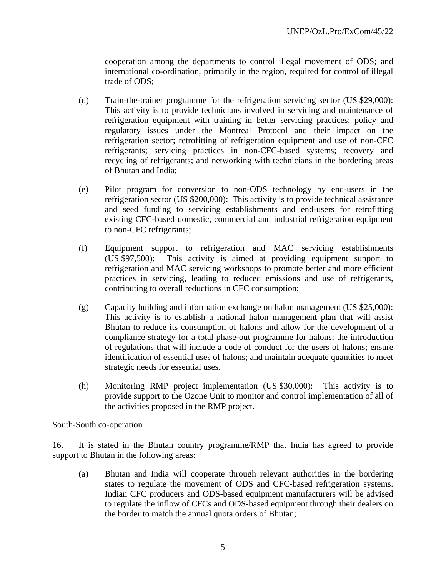cooperation among the departments to control illegal movement of ODS; and international co-ordination, primarily in the region, required for control of illegal trade of ODS;

- (d) Train-the-trainer programme for the refrigeration servicing sector (US \$29,000): This activity is to provide technicians involved in servicing and maintenance of refrigeration equipment with training in better servicing practices; policy and regulatory issues under the Montreal Protocol and their impact on the refrigeration sector; retrofitting of refrigeration equipment and use of non-CFC refrigerants; servicing practices in non-CFC-based systems; recovery and recycling of refrigerants; and networking with technicians in the bordering areas of Bhutan and India;
- (e) Pilot program for conversion to non-ODS technology by end-users in the refrigeration sector (US \$200,000): This activity is to provide technical assistance and seed funding to servicing establishments and end-users for retrofitting existing CFC-based domestic, commercial and industrial refrigeration equipment to non-CFC refrigerants;
- (f) Equipment support to refrigeration and MAC servicing establishments (US \$97,500): This activity is aimed at providing equipment support to refrigeration and MAC servicing workshops to promote better and more efficient practices in servicing, leading to reduced emissions and use of refrigerants, contributing to overall reductions in CFC consumption;
- (g) Capacity building and information exchange on halon management (US \$25,000): This activity is to establish a national halon management plan that will assist Bhutan to reduce its consumption of halons and allow for the development of a compliance strategy for a total phase-out programme for halons; the introduction of regulations that will include a code of conduct for the users of halons; ensure identification of essential uses of halons; and maintain adequate quantities to meet strategic needs for essential uses.
- (h) Monitoring RMP project implementation (US \$30,000): This activity is to provide support to the Ozone Unit to monitor and control implementation of all of the activities proposed in the RMP project.

#### South-South co-operation

16. It is stated in the Bhutan country programme/RMP that India has agreed to provide support to Bhutan in the following areas:

(a) Bhutan and India will cooperate through relevant authorities in the bordering states to regulate the movement of ODS and CFC-based refrigeration systems. Indian CFC producers and ODS-based equipment manufacturers will be advised to regulate the inflow of CFCs and ODS-based equipment through their dealers on the border to match the annual quota orders of Bhutan;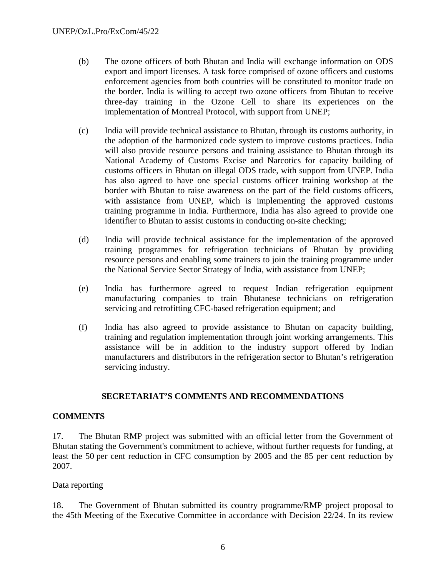- (b) The ozone officers of both Bhutan and India will exchange information on ODS export and import licenses. A task force comprised of ozone officers and customs enforcement agencies from both countries will be constituted to monitor trade on the border. India is willing to accept two ozone officers from Bhutan to receive three-day training in the Ozone Cell to share its experiences on the implementation of Montreal Protocol, with support from UNEP;
- (c) India will provide technical assistance to Bhutan, through its customs authority, in the adoption of the harmonized code system to improve customs practices. India will also provide resource persons and training assistance to Bhutan through its National Academy of Customs Excise and Narcotics for capacity building of customs officers in Bhutan on illegal ODS trade, with support from UNEP. India has also agreed to have one special customs officer training workshop at the border with Bhutan to raise awareness on the part of the field customs officers, with assistance from UNEP, which is implementing the approved customs training programme in India. Furthermore, India has also agreed to provide one identifier to Bhutan to assist customs in conducting on-site checking;
- (d) India will provide technical assistance for the implementation of the approved training programmes for refrigeration technicians of Bhutan by providing resource persons and enabling some trainers to join the training programme under the National Service Sector Strategy of India, with assistance from UNEP;
- (e) India has furthermore agreed to request Indian refrigeration equipment manufacturing companies to train Bhutanese technicians on refrigeration servicing and retrofitting CFC-based refrigeration equipment; and
- (f) India has also agreed to provide assistance to Bhutan on capacity building, training and regulation implementation through joint working arrangements. This assistance will be in addition to the industry support offered by Indian manufacturers and distributors in the refrigeration sector to Bhutan's refrigeration servicing industry.

#### **SECRETARIAT'S COMMENTS AND RECOMMENDATIONS**

#### **COMMENTS**

17. The Bhutan RMP project was submitted with an official letter from the Government of Bhutan stating the Government's commitment to achieve, without further requests for funding, at least the 50 per cent reduction in CFC consumption by 2005 and the 85 per cent reduction by 2007.

#### Data reporting

18. The Government of Bhutan submitted its country programme/RMP project proposal to the 45th Meeting of the Executive Committee in accordance with Decision 22/24. In its review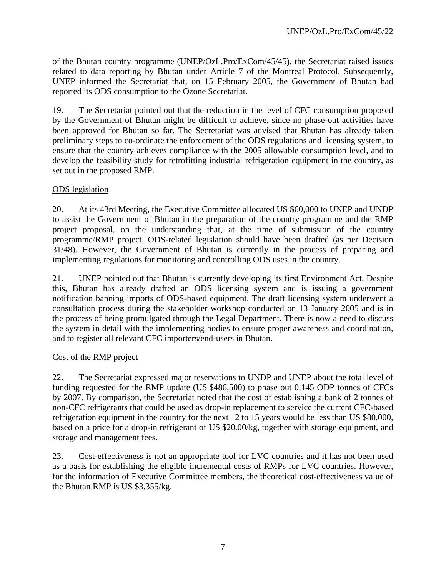of the Bhutan country programme (UNEP/OzL.Pro/ExCom/45/45), the Secretariat raised issues related to data reporting by Bhutan under Article 7 of the Montreal Protocol. Subsequently, UNEP informed the Secretariat that, on 15 February 2005, the Government of Bhutan had reported its ODS consumption to the Ozone Secretariat.

19. The Secretariat pointed out that the reduction in the level of CFC consumption proposed by the Government of Bhutan might be difficult to achieve, since no phase-out activities have been approved for Bhutan so far. The Secretariat was advised that Bhutan has already taken preliminary steps to co-ordinate the enforcement of the ODS regulations and licensing system, to ensure that the country achieves compliance with the 2005 allowable consumption level, and to develop the feasibility study for retrofitting industrial refrigeration equipment in the country, as set out in the proposed RMP.

#### ODS legislation

20. At its 43rd Meeting, the Executive Committee allocated US \$60,000 to UNEP and UNDP to assist the Government of Bhutan in the preparation of the country programme and the RMP project proposal, on the understanding that, at the time of submission of the country programme/RMP project, ODS-related legislation should have been drafted (as per Decision 31/48). However, the Government of Bhutan is currently in the process of preparing and implementing regulations for monitoring and controlling ODS uses in the country.

21. UNEP pointed out that Bhutan is currently developing its first Environment Act. Despite this, Bhutan has already drafted an ODS licensing system and is issuing a government notification banning imports of ODS-based equipment. The draft licensing system underwent a consultation process during the stakeholder workshop conducted on 13 January 2005 and is in the process of being promulgated through the Legal Department. There is now a need to discuss the system in detail with the implementing bodies to ensure proper awareness and coordination, and to register all relevant CFC importers/end-users in Bhutan.

#### Cost of the RMP project

22. The Secretariat expressed major reservations to UNDP and UNEP about the total level of funding requested for the RMP update (US \$486,500) to phase out 0.145 ODP tonnes of CFCs by 2007. By comparison, the Secretariat noted that the cost of establishing a bank of 2 tonnes of non-CFC refrigerants that could be used as drop-in replacement to service the current CFC-based refrigeration equipment in the country for the next 12 to 15 years would be less than US \$80,000, based on a price for a drop-in refrigerant of US \$20.00/kg, together with storage equipment, and storage and management fees.

23. Cost-effectiveness is not an appropriate tool for LVC countries and it has not been used as a basis for establishing the eligible incremental costs of RMPs for LVC countries. However, for the information of Executive Committee members, the theoretical cost-effectiveness value of the Bhutan RMP is US \$3,355/kg.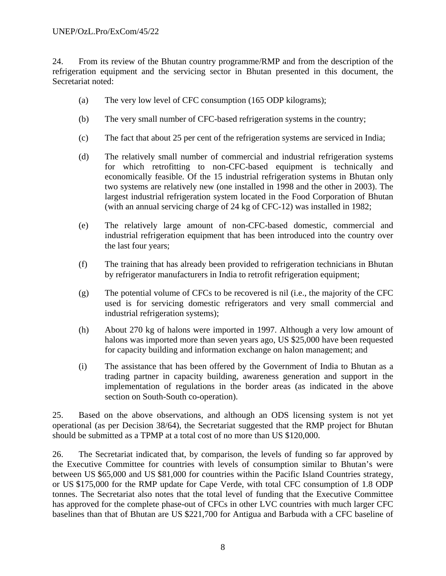24. From its review of the Bhutan country programme/RMP and from the description of the refrigeration equipment and the servicing sector in Bhutan presented in this document, the Secretariat noted:

- (a) The very low level of CFC consumption (165 ODP kilograms);
- (b) The very small number of CFC-based refrigeration systems in the country;
- (c) The fact that about 25 per cent of the refrigeration systems are serviced in India;
- (d) The relatively small number of commercial and industrial refrigeration systems for which retrofitting to non-CFC-based equipment is technically and economically feasible. Of the 15 industrial refrigeration systems in Bhutan only two systems are relatively new (one installed in 1998 and the other in 2003). The largest industrial refrigeration system located in the Food Corporation of Bhutan (with an annual servicing charge of 24 kg of CFC-12) was installed in 1982;
- (e) The relatively large amount of non-CFC-based domestic, commercial and industrial refrigeration equipment that has been introduced into the country over the last four years;
- (f) The training that has already been provided to refrigeration technicians in Bhutan by refrigerator manufacturers in India to retrofit refrigeration equipment;
- (g) The potential volume of CFCs to be recovered is nil (i.e., the majority of the CFC used is for servicing domestic refrigerators and very small commercial and industrial refrigeration systems);
- (h) About 270 kg of halons were imported in 1997. Although a very low amount of halons was imported more than seven years ago, US \$25,000 have been requested for capacity building and information exchange on halon management; and
- (i) The assistance that has been offered by the Government of India to Bhutan as a trading partner in capacity building, awareness generation and support in the implementation of regulations in the border areas (as indicated in the above section on South-South co-operation).

25. Based on the above observations, and although an ODS licensing system is not yet operational (as per Decision 38/64), the Secretariat suggested that the RMP project for Bhutan should be submitted as a TPMP at a total cost of no more than US \$120,000.

26. The Secretariat indicated that, by comparison, the levels of funding so far approved by the Executive Committee for countries with levels of consumption similar to Bhutan's were between US \$65,000 and US \$81,000 for countries within the Pacific Island Countries strategy, or US \$175,000 for the RMP update for Cape Verde, with total CFC consumption of 1.8 ODP tonnes. The Secretariat also notes that the total level of funding that the Executive Committee has approved for the complete phase-out of CFCs in other LVC countries with much larger CFC baselines than that of Bhutan are US \$221,700 for Antigua and Barbuda with a CFC baseline of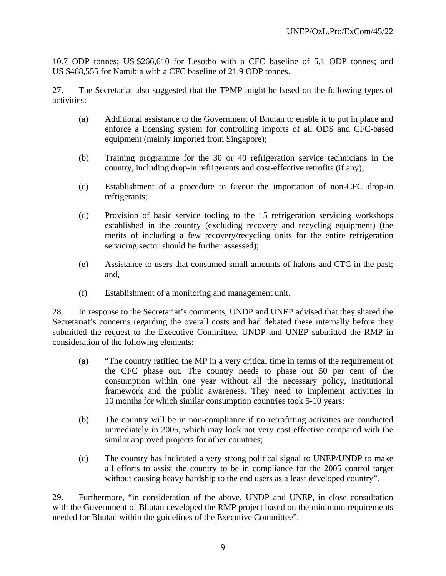10.7 ODP tonnes; US \$266,610 for Lesotho with a CFC baseline of 5.1 ODP tonnes; and US \$468,555 for Namibia with a CFC baseline of 21.9 ODP tonnes.

27. The Secretariat also suggested that the TPMP might be based on the following types of activities:

- (a) Additional assistance to the Government of Bhutan to enable it to put in place and enforce a licensing system for controlling imports of all ODS and CFC-based equipment (mainly imported from Singapore);
- (b) Training programme for the 30 or 40 refrigeration service technicians in the country, including drop-in refrigerants and cost-effective retrofits (if any);
- (c) Establishment of a procedure to favour the importation of non-CFC drop-in refrigerants;
- (d) Provision of basic service tooling to the 15 refrigeration servicing workshops established in the country (excluding recovery and recycling equipment) (the merits of including a few recovery/recycling units for the entire refrigeration servicing sector should be further assessed);
- (e) Assistance to users that consumed small amounts of halons and CTC in the past; and,
- (f) Establishment of a monitoring and management unit.

28. In response to the Secretariat's comments, UNDP and UNEP advised that they shared the Secretariat's concerns regarding the overall costs and had debated these internally before they submitted the request to the Executive Committee. UNDP and UNEP submitted the RMP in consideration of the following elements:

- (a) "The country ratified the MP in a very critical time in terms of the requirement of the CFC phase out. The country needs to phase out 50 per cent of the consumption within one year without all the necessary policy, institutional framework and the public awareness. They need to implement activities in 10 months for which similar consumption countries took 5-10 years;
- (b) The country will be in non-compliance if no retrofitting activities are conducted immediately in 2005, which may look not very cost effective compared with the similar approved projects for other countries;
- (c) The country has indicated a very strong political signal to UNEP/UNDP to make all efforts to assist the country to be in compliance for the 2005 control target without causing heavy hardship to the end users as a least developed country".

29. Furthermore, "in consideration of the above, UNDP and UNEP, in close consultation with the Government of Bhutan developed the RMP project based on the minimum requirements needed for Bhutan within the guidelines of the Executive Committee".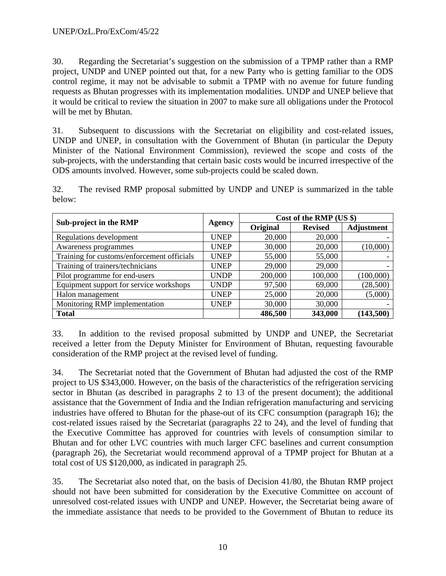30. Regarding the Secretariat's suggestion on the submission of a TPMP rather than a RMP project, UNDP and UNEP pointed out that, for a new Party who is getting familiar to the ODS control regime, it may not be advisable to submit a TPMP with no avenue for future funding requests as Bhutan progresses with its implementation modalities. UNDP and UNEP believe that it would be critical to review the situation in 2007 to make sure all obligations under the Protocol will be met by Bhutan.

31. Subsequent to discussions with the Secretariat on eligibility and cost-related issues, UNDP and UNEP, in consultation with the Government of Bhutan (in particular the Deputy Minister of the National Environment Commission), reviewed the scope and costs of the sub-projects, with the understanding that certain basic costs would be incurred irrespective of the ODS amounts involved. However, some sub-projects could be scaled down.

32. The revised RMP proposal submitted by UNDP and UNEP is summarized in the table below:

|                                            |             | Cost of the RMP (US \$) |                |                   |  |
|--------------------------------------------|-------------|-------------------------|----------------|-------------------|--|
| Sub-project in the RMP                     | Agency      | Original                | <b>Revised</b> | <b>Adjustment</b> |  |
| Regulations development                    | <b>UNEP</b> | 20,000                  | 20,000         |                   |  |
| Awareness programmes                       | <b>UNEP</b> | 30,000                  | 20,000         | (10,000)          |  |
| Training for customs/enforcement officials | <b>UNEP</b> | 55,000                  | 55,000         |                   |  |
| Training of trainers/technicians           | <b>UNEP</b> | 29,000                  | 29,000         |                   |  |
| Pilot programme for end-users              | <b>UNDP</b> | 200,000                 | 100,000        | (100,000)         |  |
| Equipment support for service workshops    | <b>UNDP</b> | 97,500                  | 69,000         | (28,500)          |  |
| Halon management                           | <b>UNEP</b> | 25,000                  | 20,000         | (5,000)           |  |
| Monitoring RMP implementation              | <b>UNEP</b> | 30,000                  | 30,000         |                   |  |
| <b>Total</b>                               |             | 486,500                 | 343,000        | (143,500)         |  |

33. In addition to the revised proposal submitted by UNDP and UNEP, the Secretariat received a letter from the Deputy Minister for Environment of Bhutan, requesting favourable consideration of the RMP project at the revised level of funding.

34. The Secretariat noted that the Government of Bhutan had adjusted the cost of the RMP project to US \$343,000. However, on the basis of the characteristics of the refrigeration servicing sector in Bhutan (as described in paragraphs 2 to 13 of the present document); the additional assistance that the Government of India and the Indian refrigeration manufacturing and servicing industries have offered to Bhutan for the phase-out of its CFC consumption (paragraph 16); the cost-related issues raised by the Secretariat (paragraphs 22 to 24), and the level of funding that the Executive Committee has approved for countries with levels of consumption similar to Bhutan and for other LVC countries with much larger CFC baselines and current consumption (paragraph 26), the Secretariat would recommend approval of a TPMP project for Bhutan at a total cost of US \$120,000, as indicated in paragraph 25.

35. The Secretariat also noted that, on the basis of Decision 41/80, the Bhutan RMP project should not have been submitted for consideration by the Executive Committee on account of unresolved cost-related issues with UNDP and UNEP. However, the Secretariat being aware of the immediate assistance that needs to be provided to the Government of Bhutan to reduce its